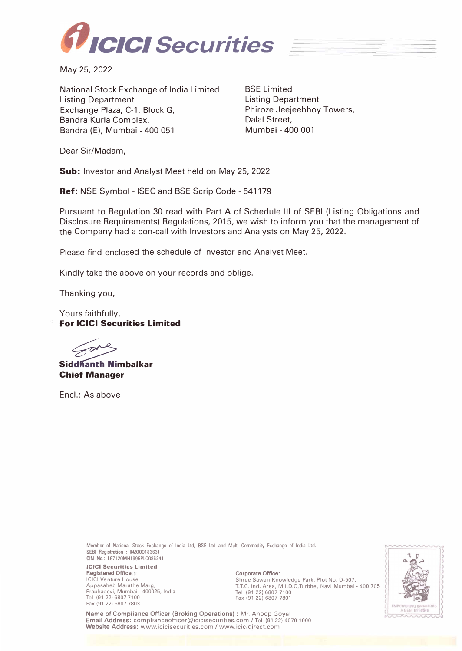

May 25, 2022

National Stock Exchange of India Limited Listing Department Exchange Plaza, C-1, Block G, Sandra Kurla Complex, Sandra {E), Mumbai - 400 051

BSE Limited Listing Department Phiroze Jeejeebhoy Towers, Dalal Street, Mumbai - 400 001

Dear Sir/Madam,

**Sub:** Investor and Analyst Meet held on May 25, 2022

**Ref:** NSE Symbol - ISEC and BSE Scrip Code - 541179

Pursuant to Regulation 30 read with Part A of Schedule Ill of SEBI {Listing Obligations and Disclosure Requirements) Regulations, 2015, we wish to inform you that the management of the Company had a con-call with Investors and Analysts on May 25, 2022.

Please find enclosed the schedule of Investor and Analyst Meet.

Kindly take the above on your records and oblige.

Thanking you,

Yours faithfully, **For ICICI Securities Limited** 

**Siddhanth Nimbalkar Chief Manager** 

Encl.: As above

Member of National Stock Exchange of India Ltd, BSE Ltd and Multi Commodity Exchange of India Ltd. **SEBI Registration** : INZ000183631 CIN No.: L67120MH1995PLC086241

**ICICI Securities Limited Registered Office**  ICICI Venture House Appasaheb Marathe Marg, Prabhadevi, Mumbai - 400025, India Tel (91 22) 6807 7100 Fax (91 22) 6807 7803

**Corporate Office:**  Shree Sawan Knowledge Park, Plot No. D-507, T.T.C. Ind. Area, M.I.D.C,Turbhe, Navi Mumbai - 400 705 Tel (91 22) 6807 7100 Fax (91 22) 6807 7801